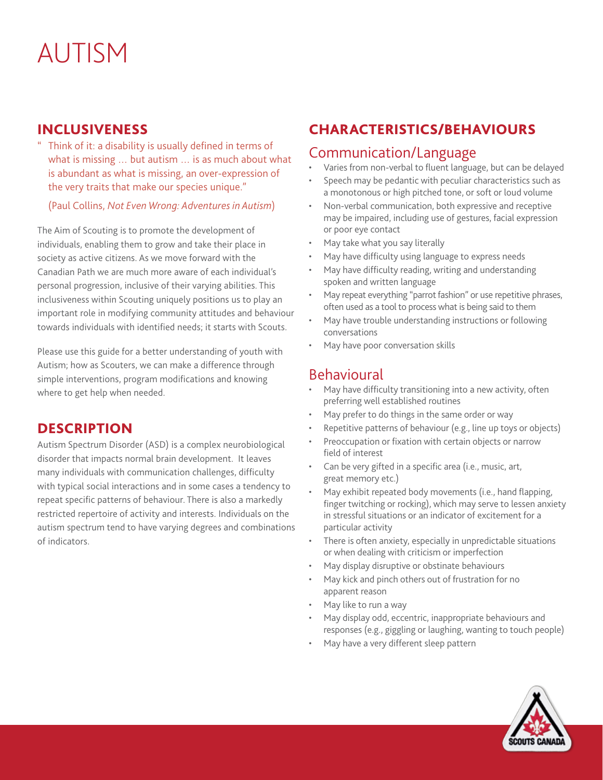#### INCLUSIVENESS

Think of it: a disability is usually defined in terms of what is missing … but autism … is as much about what is abundant as what is missing, an over-expression of the very traits that make our species unique."

(Paul Collins, *Not Even Wrong: Adventures in Autism*)

The Aim of Scouting is to promote the development of individuals, enabling them to grow and take their place in society as active citizens. As we move forward with the Canadian Path we are much more aware of each individual's personal progression, inclusive of their varying abilities. This inclusiveness within Scouting uniquely positions us to play an important role in modifying community attitudes and behaviour towards individuals with identified needs; it starts with Scouts.

Please use this guide for a better understanding of youth with Autism; how as Scouters, we can make a difference through simple interventions, program modifications and knowing where to get help when needed.

### **DESCRIPTION**

Autism Spectrum Disorder (ASD) is a complex neurobiological disorder that impacts normal brain development. It leaves many individuals with communication challenges, difficulty with typical social interactions and in some cases a tendency to repeat specific patterns of behaviour. There is also a markedly restricted repertoire of activity and interests. Individuals on the autism spectrum tend to have varying degrees and combinations of indicators.

# CHARACTERISTICS/BEHAVIOURS

### Communication/Language

- Varies from non-verbal to fluent language, but can be delayed
- Speech may be pedantic with peculiar characteristics such as a monotonous or high pitched tone, or soft or loud volume
- Non-verbal communication, both expressive and receptive may be impaired, including use of gestures, facial expression or poor eye contact
- May take what you say literally
- May have difficulty using language to express needs
- May have difficulty reading, writing and understanding spoken and written language
- May repeat everything "parrot fashion" or use repetitive phrases, often used as a tool to process what is being said to them
- May have trouble understanding instructions or following conversations
- May have poor conversation skills

### Behavioural

- May have difficulty transitioning into a new activity, often preferring well established routines
- May prefer to do things in the same order or way
- Repetitive patterns of behaviour (e.g., line up toys or objects)
- Preoccupation or fixation with certain objects or narrow field of interest
- Can be very gifted in a specific area (i.e., music, art, great memory etc.)
- May exhibit repeated body movements (i.e., hand flapping, finger twitching or rocking), which may serve to lessen anxiety in stressful situations or an indicator of excitement for a particular activity
- There is often anxiety, especially in unpredictable situations or when dealing with criticism or imperfection
- May display disruptive or obstinate behaviours
- May kick and pinch others out of frustration for no apparent reason
- May like to run a way
- May display odd, eccentric, inappropriate behaviours and responses (e.g., giggling or laughing, wanting to touch people)
- May have a very different sleep pattern